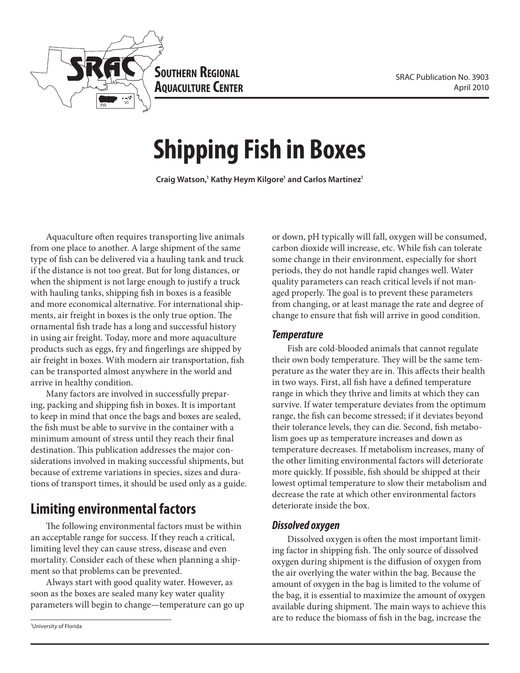

**Southern Regional AQUACULTURE CENTER** 

# **Shipping Fish in Boxes**

**Craig Watson,1 Kathy Heym Kilgore1 and Carlos Martinez1**

Aquaculture often requires transporting live animals from one place to another. A large shipment of the same type of fish can be delivered via a hauling tank and truck if the distance is not too great. But for long distances, or when the shipment is not large enough to justify a truck with hauling tanks, shipping fish in boxes is a feasible and more economical alternative. For international shipments, air freight in boxes is the only true option. The ornamental fish trade has a long and successful history in using air freight. Today, more and more aquaculture products such as eggs, fry and fingerlings are shipped by air freight in boxes. With modern air transportation, fish can be transported almost anywhere in the world and arrive in healthy condition.

Many factors are involved in successfully preparing, packing and shipping fish in boxes. It is important to keep in mind that once the bags and boxes are sealed, the fish must be able to survive in the container with a minimum amount of stress until they reach their final destination. This publication addresses the major considerations involved in making successful shipments, but because of extreme variations in species, sizes and durations of transport times, it should be used only as a guide.

# **Limiting environmental factors**

The following environmental factors must be within an acceptable range for success. If they reach a critical, limiting level they can cause stress, disease and even mortality. Consider each of these when planning a shipment so that problems can be prevented.

Always start with good quality water. However, as soon as the boxes are sealed many key water quality parameters will begin to change—temperature can go up

1 University of Florida

or down, pH typically will fall, oxygen will be consumed, carbon dioxide will increase, etc. While fish can tolerate some change in their environment, especially for short periods, they do not handle rapid changes well. Water quality parameters can reach critical levels if not managed properly. The goal is to prevent these parameters from changing, or at least manage the rate and degree of change to ensure that fish will arrive in good condition.

#### *Temperature*

Fish are cold-blooded animals that cannot regulate their own body temperature. They will be the same temperature as the water they are in. This affects their health in two ways. First, all fish have a defined temperature range in which they thrive and limits at which they can survive. If water temperature deviates from the optimum range, the fish can become stressed; if it deviates beyond their tolerance levels, they can die. Second, fish metabolism goes up as temperature increases and down as temperature decreases. If metabolism increases, many of the other limiting environmental factors will deteriorate more quickly. If possible, fish should be shipped at their lowest optimal temperature to slow their metabolism and decrease the rate at which other environmental factors deteriorate inside the box.

#### *Dissolved oxygen*

Dissolved oxygen is often the most important limiting factor in shipping fish. The only source of dissolved oxygen during shipment is the diffusion of oxygen from the air overlying the water within the bag. Because the amount of oxygen in the bag is limited to the volume of the bag, it is essential to maximize the amount of oxygen available during shipment. The main ways to achieve this are to reduce the biomass of fish in the bag, increase the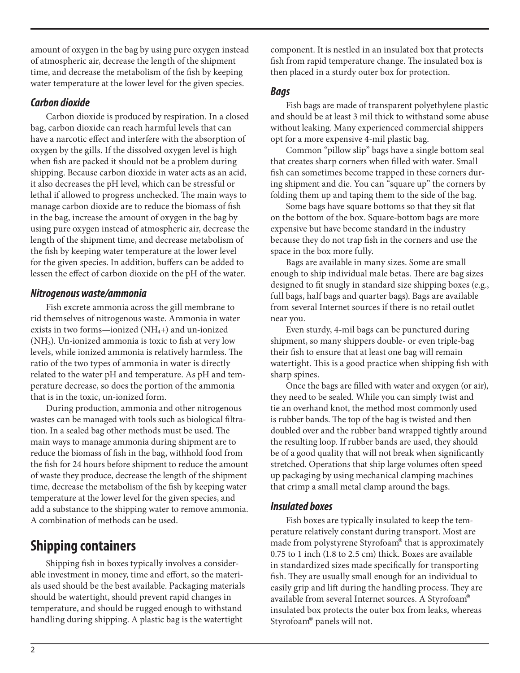amount of oxygen in the bag by using pure oxygen instead of atmospheric air, decrease the length of the shipment time, and decrease the metabolism of the fish by keeping water temperature at the lower level for the given species.

### *Carbon dioxide*

Carbon dioxide is produced by respiration. In a closed bag, carbon dioxide can reach harmful levels that can have a narcotic effect and interfere with the absorption of oxygen by the gills. If the dissolved oxygen level is high when fish are packed it should not be a problem during shipping. Because carbon dioxide in water acts as an acid, it also decreases the pH level, which can be stressful or lethal if allowed to progress unchecked. The main ways to manage carbon dioxide are to reduce the biomass of fish in the bag, increase the amount of oxygen in the bag by using pure oxygen instead of atmospheric air, decrease the length of the shipment time, and decrease metabolism of the fish by keeping water temperature at the lower level for the given species. In addition, buffers can be added to lessen the effect of carbon dioxide on the pH of the water.

#### *Nitrogenous waste/ammonia*

Fish excrete ammonia across the gill membrane to rid themselves of nitrogenous waste. Ammonia in water exists in two forms—ionized (NH4+) and un-ionized (NH3). Un-ionized ammonia is toxic to fish at very low levels, while ionized ammonia is relatively harmless. The ratio of the two types of ammonia in water is directly related to the water pH and temperature. As pH and temperature decrease, so does the portion of the ammonia that is in the toxic, un-ionized form.

During production, ammonia and other nitrogenous wastes can be managed with tools such as biological filtration. In a sealed bag other methods must be used. The main ways to manage ammonia during shipment are to reduce the biomass of fish in the bag, withhold food from the fish for 24 hours before shipment to reduce the amount of waste they produce, decrease the length of the shipment time, decrease the metabolism of the fish by keeping water temperature at the lower level for the given species, and add a substance to the shipping water to remove ammonia. A combination of methods can be used.

# **Shipping containers**

Shipping fish in boxes typically involves a considerable investment in money, time and effort, so the materials used should be the best available. Packaging materials should be watertight, should prevent rapid changes in temperature, and should be rugged enough to withstand handling during shipping. A plastic bag is the watertight

component. It is nestled in an insulated box that protects fish from rapid temperature change. The insulated box is then placed in a sturdy outer box for protection.

#### *Bags*

Fish bags are made of transparent polyethylene plastic and should be at least 3 mil thick to withstand some abuse without leaking. Many experienced commercial shippers opt for a more expensive 4-mil plastic bag.

Common "pillow slip" bags have a single bottom seal that creates sharp corners when filled with water. Small fish can sometimes become trapped in these corners during shipment and die. You can "square up" the corners by folding them up and taping them to the side of the bag.

Some bags have square bottoms so that they sit flat on the bottom of the box. Square-bottom bags are more expensive but have become standard in the industry because they do not trap fish in the corners and use the space in the box more fully.

Bags are available in many sizes. Some are small enough to ship individual male betas. There are bag sizes designed to fit snugly in standard size shipping boxes (e.g., full bags, half bags and quarter bags). Bags are available from several Internet sources if there is no retail outlet near you.

Even sturdy, 4-mil bags can be punctured during shipment, so many shippers double- or even triple-bag their fish to ensure that at least one bag will remain watertight. This is a good practice when shipping fish with sharp spines.

Once the bags are filled with water and oxygen (or air), they need to be sealed. While you can simply twist and tie an overhand knot, the method most commonly used is rubber bands. The top of the bag is twisted and then doubled over and the rubber band wrapped tightly around the resulting loop. If rubber bands are used, they should be of a good quality that will not break when significantly stretched. Operations that ship large volumes often speed up packaging by using mechanical clamping machines that crimp a small metal clamp around the bags.

#### *Insulated boxes*

Fish boxes are typically insulated to keep the temperature relatively constant during transport. Most are made from polystyrene Styrofoam® that is approximately 0.75 to 1 inch (1.8 to 2.5 cm) thick. Boxes are available in standardized sizes made specifically for transporting fish. They are usually small enough for an individual to easily grip and lift during the handling process. They are available from several Internet sources. A Styrofoam® insulated box protects the outer box from leaks, whereas Styrofoam® panels will not.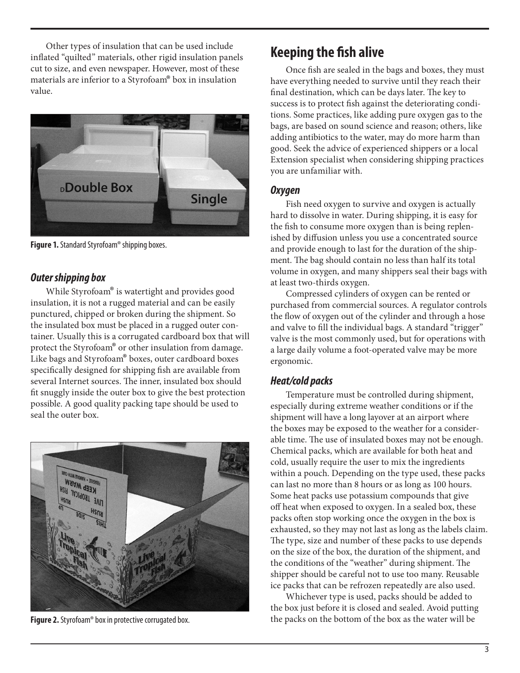Other types of insulation that can be used include inflated "quilted" materials, other rigid insulation panels cut to size, and even newspaper. However, most of these materials are inferior to a Styrofoam® box in insulation value.



**Figure 1.** Standard Styrofoam® shipping boxes.

#### *Outer shipping box*

While Styrofoam® is watertight and provides good insulation, it is not a rugged material and can be easily punctured, chipped or broken during the shipment. So the insulated box must be placed in a rugged outer container. Usually this is a corrugated cardboard box that will protect the Styrofoam® or other insulation from damage. Like bags and Styrofoam® boxes, outer cardboard boxes specifically designed for shipping fish are available from several Internet sources. The inner, insulated box should fit snuggly inside the outer box to give the best protection possible. A good quality packing tape should be used to seal the outer box.



**Figure 2.** Styrofoam® box in protective corrugated box.

# **Keeping the fish alive**

Once fish are sealed in the bags and boxes, they must have everything needed to survive until they reach their final destination, which can be days later. The key to success is to protect fish against the deteriorating conditions. Some practices, like adding pure oxygen gas to the bags, are based on sound science and reason; others, like adding antibiotics to the water, may do more harm than good. Seek the advice of experienced shippers or a local Extension specialist when considering shipping practices you are unfamiliar with.

#### *Oxygen*

Fish need oxygen to survive and oxygen is actually hard to dissolve in water. During shipping, it is easy for the fish to consume more oxygen than is being replenished by diffusion unless you use a concentrated source and provide enough to last for the duration of the shipment. The bag should contain no less than half its total volume in oxygen, and many shippers seal their bags with at least two-thirds oxygen.

Compressed cylinders of oxygen can be rented or purchased from commercial sources. A regulator controls the flow of oxygen out of the cylinder and through a hose and valve to fill the individual bags. A standard "trigger" valve is the most commonly used, but for operations with a large daily volume a foot-operated valve may be more ergonomic.

#### *Heat/cold packs*

Temperature must be controlled during shipment, especially during extreme weather conditions or if the shipment will have a long layover at an airport where the boxes may be exposed to the weather for a considerable time. The use of insulated boxes may not be enough. Chemical packs, which are available for both heat and cold, usually require the user to mix the ingredients within a pouch. Depending on the type used, these packs can last no more than 8 hours or as long as 100 hours. Some heat packs use potassium compounds that give off heat when exposed to oxygen. In a sealed box, these packs often stop working once the oxygen in the box is exhausted, so they may not last as long as the labels claim. The type, size and number of these packs to use depends on the size of the box, the duration of the shipment, and the conditions of the "weather" during shipment. The shipper should be careful not to use too many. Reusable ice packs that can be refrozen repeatedly are also used.

Whichever type is used, packs should be added to the box just before it is closed and sealed. Avoid putting the packs on the bottom of the box as the water will be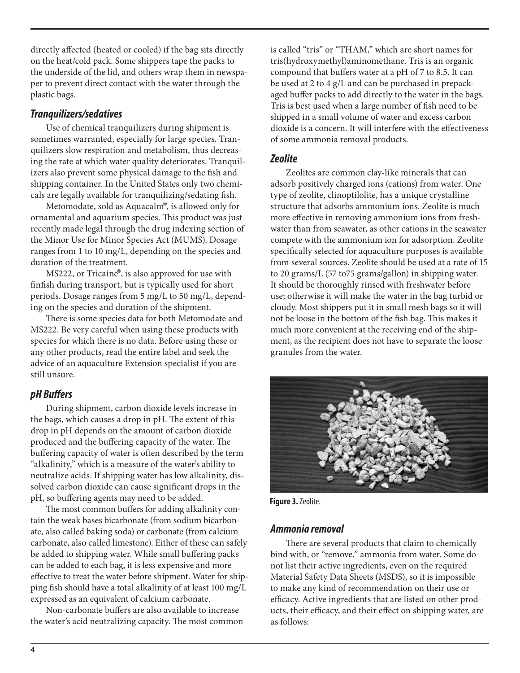directly affected (heated or cooled) if the bag sits directly on the heat/cold pack. Some shippers tape the packs to the underside of the lid, and others wrap them in newspaper to prevent direct contact with the water through the plastic bags.

## *Tranquilizers/sedatives*

Use of chemical tranquilizers during shipment is sometimes warranted, especially for large species. Tranquilizers slow respiration and metabolism, thus decreasing the rate at which water quality deteriorates. Tranquilizers also prevent some physical damage to the fish and shipping container. In the United States only two chemicals are legally available for tranquilizing/sedating fish.

Metomodate, sold as Aquacalm®, is allowed only for ornamental and aquarium species. This product was just recently made legal through the drug indexing section of the Minor Use for Minor Species Act (MUMS). Dosage ranges from 1 to 10 mg/L, depending on the species and duration of the treatment.

MS222, or Tricaine®, is also approved for use with finfish during transport, but is typically used for short periods. Dosage ranges from 5 mg/L to 50 mg/L, depending on the species and duration of the shipment.

There is some species data for both Metomodate and MS222. Be very careful when using these products with species for which there is no data. Before using these or any other products, read the entire label and seek the advice of an aquaculture Extension specialist if you are still unsure.

# *pH Buffers*

During shipment, carbon dioxide levels increase in the bags, which causes a drop in pH. The extent of this drop in pH depends on the amount of carbon dioxide produced and the buffering capacity of the water. The buffering capacity of water is often described by the term "alkalinity," which is a measure of the water's ability to neutralize acids. If shipping water has low alkalinity, dissolved carbon dioxide can cause significant drops in the pH, so buffering agents may need to be added.

The most common buffers for adding alkalinity contain the weak bases bicarbonate (from sodium bicarbonate, also called baking soda) or carbonate (from calcium carbonate, also called limestone). Either of these can safely be added to shipping water. While small buffering packs can be added to each bag, it is less expensive and more effective to treat the water before shipment. Water for shipping fish should have a total alkalinity of at least 100 mg/L expressed as an equivalent of calcium carbonate.

Non-carbonate buffers are also available to increase the water's acid neutralizing capacity. The most common is called "tris" or "THAM," which are short names for tris(hydroxymethyl)aminomethane. Tris is an organic compound that buffers water at a pH of 7 to 8.5. It can be used at 2 to 4 g/L and can be purchased in prepackaged buffer packs to add directly to the water in the bags. Tris is best used when a large number of fish need to be shipped in a small volume of water and excess carbon dioxide is a concern. It will interfere with the effectiveness of some ammonia removal products.

# *Zeolite*

Zeolites are common clay-like minerals that can adsorb positively charged ions (cations) from water. One type of zeolite, clinoptilolite, has a unique crystalline structure that adsorbs ammonium ions. Zeolite is much more effective in removing ammonium ions from freshwater than from seawater, as other cations in the seawater compete with the ammonium ion for adsorption. Zeolite specifically selected for aquaculture purposes is available from several sources. Zeolite should be used at a rate of 15 to 20 grams/L (57 to75 grams/gallon) in shipping water. It should be thoroughly rinsed with freshwater before use; otherwise it will make the water in the bag turbid or cloudy. Most shippers put it in small mesh bags so it will not be loose in the bottom of the fish bag. This makes it much more convenient at the receiving end of the shipment, as the recipient does not have to separate the loose granules from the water.



**Figure 3.** Zeolite.

# *Ammonia removal*

There are several products that claim to chemically bind with, or "remove," ammonia from water. Some do not list their active ingredients, even on the required Material Safety Data Sheets (MSDS), so it is impossible to make any kind of recommendation on their use or efficacy. Active ingredients that are listed on other products, their efficacy, and their effect on shipping water, are as follows: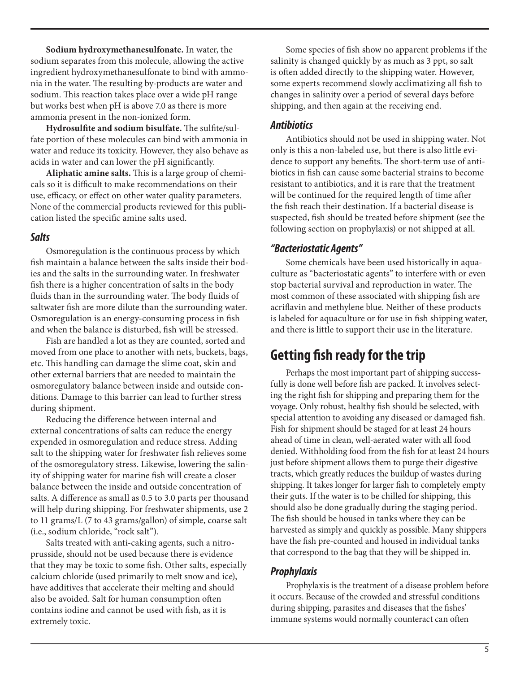**Sodium hydroxymethanesulfonate.** In water, the sodium separates from this molecule, allowing the active ingredient hydroxymethanesulfonate to bind with ammonia in the water. The resulting by-products are water and sodium. This reaction takes place over a wide pH range but works best when pH is above 7.0 as there is more ammonia present in the non-ionized form.

**Hydrosulfite and sodium bisulfate.** The sulfite/sulfate portion of these molecules can bind with ammonia in water and reduce its toxicity. However, they also behave as acids in water and can lower the pH significantly.

**Aliphatic amine salts.** This is a large group of chemicals so it is difficult to make recommendations on their use, efficacy, or effect on other water quality parameters. None of the commercial products reviewed for this publication listed the specific amine salts used.

#### *Salts*

Osmoregulation is the continuous process by which fish maintain a balance between the salts inside their bodies and the salts in the surrounding water. In freshwater fish there is a higher concentration of salts in the body fluids than in the surrounding water. The body fluids of saltwater fish are more dilute than the surrounding water. Osmoregulation is an energy-consuming process in fish and when the balance is disturbed, fish will be stressed.

Fish are handled a lot as they are counted, sorted and moved from one place to another with nets, buckets, bags, etc. This handling can damage the slime coat, skin and other external barriers that are needed to maintain the osmoregulatory balance between inside and outside conditions. Damage to this barrier can lead to further stress during shipment.

Reducing the difference between internal and external concentrations of salts can reduce the energy expended in osmoregulation and reduce stress. Adding salt to the shipping water for freshwater fish relieves some of the osmoregulatory stress. Likewise, lowering the salinity of shipping water for marine fish will create a closer balance between the inside and outside concentration of salts. A difference as small as 0.5 to 3.0 parts per thousand will help during shipping. For freshwater shipments, use 2 to 11 grams/L (7 to 43 grams/gallon) of simple, coarse salt (i.e., sodium chloride, "rock salt").

Salts treated with anti-caking agents, such a nitroprusside, should not be used because there is evidence that they may be toxic to some fish. Other salts, especially calcium chloride (used primarily to melt snow and ice), have additives that accelerate their melting and should also be avoided. Salt for human consumption often contains iodine and cannot be used with fish, as it is extremely toxic.

Some species of fish show no apparent problems if the salinity is changed quickly by as much as 3 ppt, so salt is often added directly to the shipping water. However, some experts recommend slowly acclimatizing all fish to changes in salinity over a period of several days before shipping, and then again at the receiving end.

# *Antibiotics*

Antibiotics should not be used in shipping water. Not only is this a non-labeled use, but there is also little evidence to support any benefits. The short-term use of antibiotics in fish can cause some bacterial strains to become resistant to antibiotics, and it is rare that the treatment will be continued for the required length of time after the fish reach their destination. If a bacterial disease is suspected, fish should be treated before shipment (see the following section on prophylaxis) or not shipped at all.

# *"Bacteriostatic Agents"*

Some chemicals have been used historically in aquaculture as "bacteriostatic agents" to interfere with or even stop bacterial survival and reproduction in water. The most common of these associated with shipping fish are acriflavin and methylene blue. Neither of these products is labeled for aquaculture or for use in fish shipping water, and there is little to support their use in the literature.

# **Getting fish ready for the trip**

Perhaps the most important part of shipping successfully is done well before fish are packed. It involves selecting the right fish for shipping and preparing them for the voyage. Only robust, healthy fish should be selected, with special attention to avoiding any diseased or damaged fish. Fish for shipment should be staged for at least 24 hours ahead of time in clean, well-aerated water with all food denied. Withholding food from the fish for at least 24 hours just before shipment allows them to purge their digestive tracts, which greatly reduces the buildup of wastes during shipping. It takes longer for larger fish to completely empty their guts. If the water is to be chilled for shipping, this should also be done gradually during the staging period. The fish should be housed in tanks where they can be harvested as simply and quickly as possible. Many shippers have the fish pre-counted and housed in individual tanks that correspond to the bag that they will be shipped in.

# *Prophylaxis*

Prophylaxis is the treatment of a disease problem before it occurs. Because of the crowded and stressful conditions during shipping, parasites and diseases that the fishes' immune systems would normally counteract can often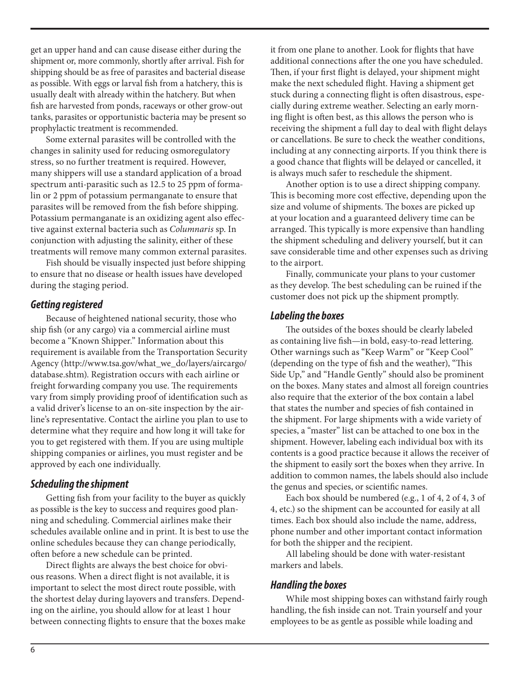get an upper hand and can cause disease either during the shipment or, more commonly, shortly after arrival. Fish for shipping should be as free of parasites and bacterial disease as possible. With eggs or larval fish from a hatchery, this is usually dealt with already within the hatchery. But when fish are harvested from ponds, raceways or other grow-out tanks, parasites or opportunistic bacteria may be present so prophylactic treatment is recommended.

Some external parasites will be controlled with the changes in salinity used for reducing osmoregulatory stress, so no further treatment is required. However, many shippers will use a standard application of a broad spectrum anti-parasitic such as 12.5 to 25 ppm of formalin or 2 ppm of potassium permanganate to ensure that parasites will be removed from the fish before shipping. Potassium permanganate is an oxidizing agent also effective against external bacteria such as *Columnaris* sp. In conjunction with adjusting the salinity, either of these treatments will remove many common external parasites.

Fish should be visually inspected just before shipping to ensure that no disease or health issues have developed during the staging period.

#### *Getting registered*

Because of heightened national security, those who ship fish (or any cargo) via a commercial airline must become a "Known Shipper." Information about this requirement is available from the Transportation Security Agency (http://www.tsa.gov/what\_we\_do/layers/aircargo/ database.shtm). Registration occurs with each airline or freight forwarding company you use. The requirements vary from simply providing proof of identification such as a valid driver's license to an on-site inspection by the airline's representative. Contact the airline you plan to use to determine what they require and how long it will take for you to get registered with them. If you are using multiple shipping companies or airlines, you must register and be approved by each one individually.

#### *Scheduling the shipment*

Getting fish from your facility to the buyer as quickly as possible is the key to success and requires good planning and scheduling. Commercial airlines make their schedules available online and in print. It is best to use the online schedules because they can change periodically, often before a new schedule can be printed.

Direct flights are always the best choice for obvious reasons. When a direct flight is not available, it is important to select the most direct route possible, with the shortest delay during layovers and transfers. Depending on the airline, you should allow for at least 1 hour between connecting flights to ensure that the boxes make it from one plane to another. Look for flights that have additional connections after the one you have scheduled. Then, if your first flight is delayed, your shipment might make the next scheduled flight. Having a shipment get stuck during a connecting flight is often disastrous, especially during extreme weather. Selecting an early morning flight is often best, as this allows the person who is receiving the shipment a full day to deal with flight delays or cancellations. Be sure to check the weather conditions, including at any connecting airports. If you think there is a good chance that flights will be delayed or cancelled, it is always much safer to reschedule the shipment.

Another option is to use a direct shipping company. This is becoming more cost effective, depending upon the size and volume of shipments. The boxes are picked up at your location and a guaranteed delivery time can be arranged. This typically is more expensive than handling the shipment scheduling and delivery yourself, but it can save considerable time and other expenses such as driving to the airport.

Finally, communicate your plans to your customer as they develop. The best scheduling can be ruined if the customer does not pick up the shipment promptly.

#### *Labeling the boxes*

The outsides of the boxes should be clearly labeled as containing live fish—in bold, easy-to-read lettering. Other warnings such as "Keep Warm" or "Keep Cool" (depending on the type of fish and the weather), "This Side Up," and "Handle Gently" should also be prominent on the boxes. Many states and almost all foreign countries also require that the exterior of the box contain a label that states the number and species of fish contained in the shipment. For large shipments with a wide variety of species, a "master" list can be attached to one box in the shipment. However, labeling each individual box with its contents is a good practice because it allows the receiver of the shipment to easily sort the boxes when they arrive. In addition to common names, the labels should also include the genus and species, or scientific names.

Each box should be numbered (e.g., 1 of 4, 2 of 4, 3 of 4, etc.) so the shipment can be accounted for easily at all times. Each box should also include the name, address, phone number and other important contact information for both the shipper and the recipient.

All labeling should be done with water-resistant markers and labels.

#### *Handling the boxes*

While most shipping boxes can withstand fairly rough handling, the fish inside can not. Train yourself and your employees to be as gentle as possible while loading and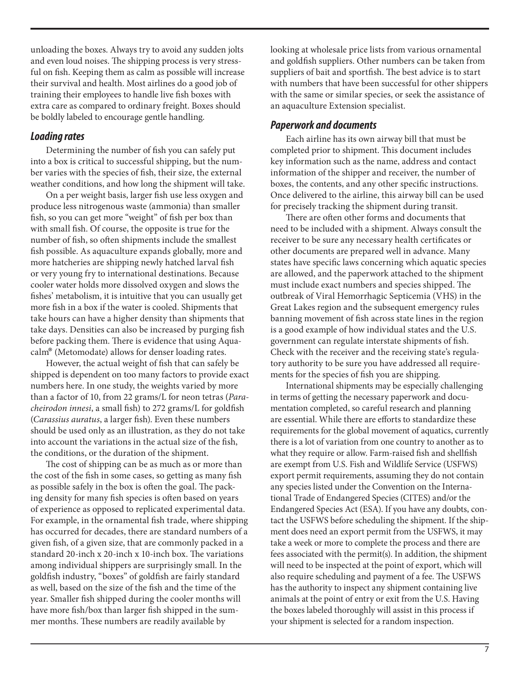unloading the boxes. Always try to avoid any sudden jolts and even loud noises. The shipping process is very stressful on fish. Keeping them as calm as possible will increase their survival and health. Most airlines do a good job of training their employees to handle live fish boxes with extra care as compared to ordinary freight. Boxes should be boldly labeled to encourage gentle handling.

#### *Loading rates*

Determining the number of fish you can safely put into a box is critical to successful shipping, but the number varies with the species of fish, their size, the external weather conditions, and how long the shipment will take.

On a per weight basis, larger fish use less oxygen and produce less nitrogenous waste (ammonia) than smaller fish, so you can get more "weight" of fish per box than with small fish. Of course, the opposite is true for the number of fish, so often shipments include the smallest fish possible. As aquaculture expands globally, more and more hatcheries are shipping newly hatched larval fish or very young fry to international destinations. Because cooler water holds more dissolved oxygen and slows the fishes' metabolism, it is intuitive that you can usually get more fish in a box if the water is cooled. Shipments that take hours can have a higher density than shipments that take days. Densities can also be increased by purging fish before packing them. There is evidence that using Aquacalm® (Metomodate) allows for denser loading rates.

However, the actual weight of fish that can safely be shipped is dependent on too many factors to provide exact numbers here. In one study, the weights varied by more than a factor of 10, from 22 grams/L for neon tetras (*Paracheirodon innesi*, a small fish) to 272 grams/L for goldfish (*Carassius auratus*, a larger fish). Even these numbers should be used only as an illustration, as they do not take into account the variations in the actual size of the fish, the conditions, or the duration of the shipment.

The cost of shipping can be as much as or more than the cost of the fish in some cases, so getting as many fish as possible safely in the box is often the goal. The packing density for many fish species is often based on years of experience as opposed to replicated experimental data. For example, in the ornamental fish trade, where shipping has occurred for decades, there are standard numbers of a given fish, of a given size, that are commonly packed in a standard 20-inch x 20-inch x 10-inch box. The variations among individual shippers are surprisingly small. In the goldfish industry, "boxes" of goldfish are fairly standard as well, based on the size of the fish and the time of the year. Smaller fish shipped during the cooler months will have more fish/box than larger fish shipped in the summer months. These numbers are readily available by

looking at wholesale price lists from various ornamental and goldfish suppliers. Other numbers can be taken from suppliers of bait and sportfish. The best advice is to start with numbers that have been successful for other shippers with the same or similar species, or seek the assistance of an aquaculture Extension specialist.

#### *Paperwork and documents*

Each airline has its own airway bill that must be completed prior to shipment. This document includes key information such as the name, address and contact information of the shipper and receiver, the number of boxes, the contents, and any other specific instructions. Once delivered to the airline, this airway bill can be used for precisely tracking the shipment during transit.

There are often other forms and documents that need to be included with a shipment. Always consult the receiver to be sure any necessary health certificates or other documents are prepared well in advance. Many states have specific laws concerning which aquatic species are allowed, and the paperwork attached to the shipment must include exact numbers and species shipped. The outbreak of Viral Hemorrhagic Septicemia (VHS) in the Great Lakes region and the subsequent emergency rules banning movement of fish across state lines in the region is a good example of how individual states and the U.S. government can regulate interstate shipments of fish. Check with the receiver and the receiving state's regulatory authority to be sure you have addressed all requirements for the species of fish you are shipping.

International shipments may be especially challenging in terms of getting the necessary paperwork and documentation completed, so careful research and planning are essential. While there are efforts to standardize these requirements for the global movement of aquatics, currently there is a lot of variation from one country to another as to what they require or allow. Farm-raised fish and shellfish are exempt from U.S. Fish and Wildlife Service (USFWS) export permit requirements, assuming they do not contain any species listed under the Convention on the International Trade of Endangered Species (CITES) and/or the Endangered Species Act (ESA). If you have any doubts, contact the USFWS before scheduling the shipment. If the shipment does need an export permit from the USFWS, it may take a week or more to complete the process and there are fees associated with the permit(s). In addition, the shipment will need to be inspected at the point of export, which will also require scheduling and payment of a fee. The USFWS has the authority to inspect any shipment containing live animals at the point of entry or exit from the U.S. Having the boxes labeled thoroughly will assist in this process if your shipment is selected for a random inspection.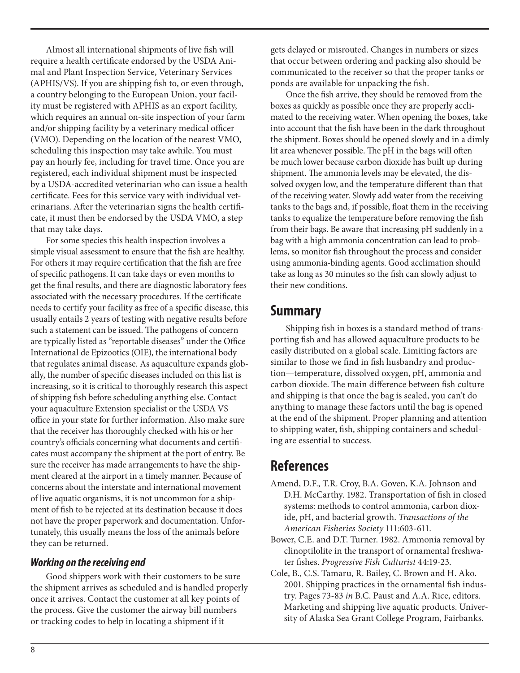Almost all international shipments of live fish will require a health certificate endorsed by the USDA Animal and Plant Inspection Service, Veterinary Services (APHIS/VS). If you are shipping fish to, or even through, a country belonging to the European Union, your facility must be registered with APHIS as an export facility, which requires an annual on-site inspection of your farm and/or shipping facility by a veterinary medical officer (VMO). Depending on the location of the nearest VMO, scheduling this inspection may take awhile. You must pay an hourly fee, including for travel time. Once you are registered, each individual shipment must be inspected by a USDA-accredited veterinarian who can issue a health certificate. Fees for this service vary with individual veterinarians. After the veterinarian signs the health certificate, it must then be endorsed by the USDA VMO, a step that may take days.

For some species this health inspection involves a simple visual assessment to ensure that the fish are healthy. For others it may require certification that the fish are free of specific pathogens. It can take days or even months to get the final results, and there are diagnostic laboratory fees associated with the necessary procedures. If the certificate needs to certify your facility as free of a specific disease, this usually entails 2 years of testing with negative results before such a statement can be issued. The pathogens of concern are typically listed as "reportable diseases" under the Office International de Epizootics (OIE), the international body that regulates animal disease. As aquaculture expands globally, the number of specific diseases included on this list is increasing, so it is critical to thoroughly research this aspect of shipping fish before scheduling anything else. Contact your aquaculture Extension specialist or the USDA VS office in your state for further information. Also make sure that the receiver has thoroughly checked with his or her country's officials concerning what documents and certificates must accompany the shipment at the port of entry. Be sure the receiver has made arrangements to have the shipment cleared at the airport in a timely manner. Because of concerns about the interstate and international movement of live aquatic organisms, it is not uncommon for a shipment of fish to be rejected at its destination because it does not have the proper paperwork and documentation. Unfortunately, this usually means the loss of the animals before they can be returned.

#### *Working on the receiving end*

Good shippers work with their customers to be sure the shipment arrives as scheduled and is handled properly once it arrives. Contact the customer at all key points of the process. Give the customer the airway bill numbers or tracking codes to help in locating a shipment if it

gets delayed or misrouted. Changes in numbers or sizes that occur between ordering and packing also should be communicated to the receiver so that the proper tanks or ponds are available for unpacking the fish.

Once the fish arrive, they should be removed from the boxes as quickly as possible once they are properly acclimated to the receiving water. When opening the boxes, take into account that the fish have been in the dark throughout the shipment. Boxes should be opened slowly and in a dimly lit area whenever possible. The pH in the bags will often be much lower because carbon dioxide has built up during shipment. The ammonia levels may be elevated, the dissolved oxygen low, and the temperature different than that of the receiving water. Slowly add water from the receiving tanks to the bags and, if possible, float them in the receiving tanks to equalize the temperature before removing the fish from their bags. Be aware that increasing pH suddenly in a bag with a high ammonia concentration can lead to problems, so monitor fish throughout the process and consider using ammonia-binding agents. Good acclimation should take as long as 30 minutes so the fish can slowly adjust to their new conditions.

# **Summary**

Shipping fish in boxes is a standard method of transporting fish and has allowed aquaculture products to be easily distributed on a global scale. Limiting factors are similar to those we find in fish husbandry and production—temperature, dissolved oxygen, pH, ammonia and carbon dioxide. The main difference between fish culture and shipping is that once the bag is sealed, you can't do anything to manage these factors until the bag is opened at the end of the shipment. Proper planning and attention to shipping water, fish, shipping containers and scheduling are essential to success.

# **References**

- Amend, D.F., T.R. Croy, B.A. Goven, K.A. Johnson and D.H. McCarthy. 1982. Transportation of fish in closed systems: methods to control ammonia, carbon dioxide, pH, and bacterial growth. *Transactions of the American Fisheries Society* 111:603-611.
- Bower, C.E. and D.T. Turner. 1982. Ammonia removal by clinoptilolite in the transport of ornamental freshwater fishes. *Progressive Fish Culturist* 44:19-23.
- Cole, B., C.S. Tamaru, R. Bailey, C. Brown and H. Ako. 2001. Shipping practices in the ornamental fish industry. Pages 73-83 *in* B.C. Paust and A.A. Rice, editors. Marketing and shipping live aquatic products. University of Alaska Sea Grant College Program, Fairbanks.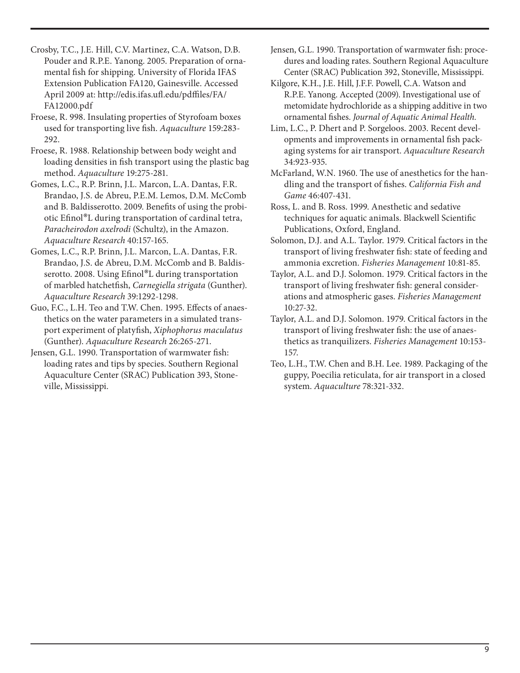Crosby, T.C., J.E. Hill, C.V. Martinez, C.A. Watson, D.B. Pouder and R.P.E. Yanong. 2005. Preparation of ornamental fish for shipping. University of Florida IFAS Extension Publication FA120, Gainesville. Accessed April 2009 at: http://edis.ifas.ufl.edu/pdffiles/FA/ FA12000.pdf

Froese, R. 998. Insulating properties of Styrofoam boxes used for transporting live fish. *Aquaculture* 159:283- 292.

Froese, R. 1988. Relationship between body weight and loading densities in fish transport using the plastic bag method. *Aquaculture* 19:275-281.

Gomes, L.C., R.P. Brinn, J.L. Marcon, L.A. Dantas, F.R. Brandao, J.S. de Abreu, P.E.M. Lemos, D.M. McComb and B. Baldisserotto. 2009. Benefits of using the probiotic Efinol®L during transportation of cardinal tetra, *Paracheirodon axelrodi* (Schultz), in the Amazon. *Aquaculture Research* 40:157-165.

Gomes, L.C., R.P. Brinn, J.L. Marcon, L.A. Dantas, F.R. Brandao, J.S. de Abreu, D.M. McComb and B. Baldisserotto. 2008. Using Efinol®L during transportation of marbled hatchetfish, *Carnegiella strigata* (Gunther). *Aquaculture Research* 39:1292-1298.

Guo, F.C., L.H. Teo and T.W. Chen. 1995. Effects of anaesthetics on the water parameters in a simulated transport experiment of platyfish, *Xiphophorus maculatus*  (Gunther). *Aquaculture Research* 26:265-271.

Jensen, G.L. 1990. Transportation of warmwater fish: loading rates and tips by species. Southern Regional Aquaculture Center (SRAC) Publication 393, Stoneville, Mississippi.

Jensen, G.L. 1990. Transportation of warmwater fish: procedures and loading rates. Southern Regional Aquaculture Center (SRAC) Publication 392, Stoneville, Mississippi.

Kilgore, K.H., J.E. Hill, J.F.F. Powell, C.A. Watson and R.P.E. Yanong. Accepted (2009). Investigational use of metomidate hydrochloride as a shipping additive in two ornamental fishes. *Journal of Aquatic Animal Health.*

Lim, L.C., P. Dhert and P. Sorgeloos. 2003. Recent developments and improvements in ornamental fish packaging systems for air transport. *Aquaculture Research* 34:923-935.

McFarland, W.N. 1960. The use of anesthetics for the handling and the transport of fishes. *California Fish and Game* 46:407-431.

Ross, L. and B. Ross. 1999. Anesthetic and sedative techniques for aquatic animals. Blackwell Scientific Publications, Oxford, England.

Solomon, D.J. and A.L. Taylor. 1979. Critical factors in the transport of living freshwater fish: state of feeding and ammonia excretion. *Fisheries Management* 10:81-85.

Taylor, A.L. and D.J. Solomon. 1979. Critical factors in the transport of living freshwater fish: general considerations and atmospheric gases. *Fisheries Management* 10:27-32.

Taylor, A.L. and D.J. Solomon. 1979. Critical factors in the transport of living freshwater fish: the use of anaesthetics as tranquilizers. *Fisheries Management* 10:153- 157.

Teo, L.H., T.W. Chen and B.H. Lee. 1989. Packaging of the guppy, Poecilia reticulata, for air transport in a closed system. *Aquaculture* 78:321-332.